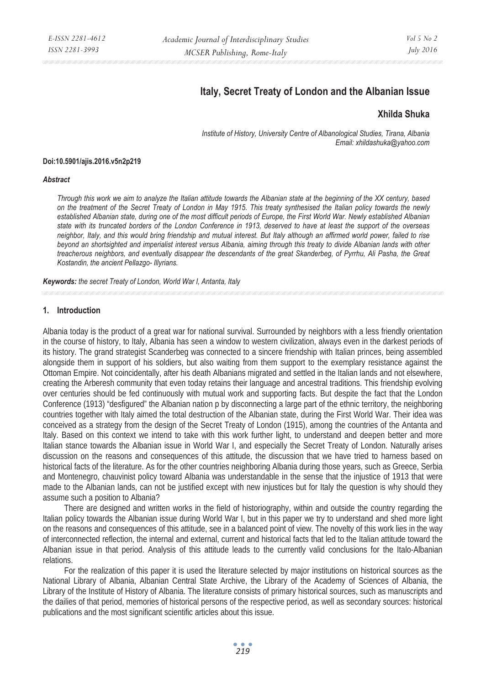# **Italy, Secret Treaty of London and the Albanian Issue**

## **Xhilda Shuka**

*Institute of History, University Centre of Albanological Studies, Tirana, Albania Email: xhildashuka@yahoo.com* 

#### **Doi:10.5901/ajis.2016.v5n2p219**

#### *Abstract*

*Through this work we aim to analyze the Italian attitude towards the Albanian state at the beginning of the XX century, based on the treatment of the Secret Treaty of London in May 1915. This treaty synthesised the Italian policy towards the newly established Albanian state, during one of the most difficult periods of Europe, the First World War. Newly established Albanian state with its truncated borders of the London Conference in 1913, deserved to have at least the support of the overseas neighbor, Italy, and this would bring friendship and mutual interest. But Italy although an affirmed world power, failed to rise*  beyond an shortsighted and imperialist interest versus Albania, aiming through this treaty to divide Albanian lands with other *treacherous neighbors, and eventually disappear the descendants of the great Skanderbeg, of Pyrrhu, Ali Pasha, the Great Kostandin, the ancient Pellazgo- Illyrians.* 

*Keywords: the secret Treaty of London, World War I, Antanta, Italy* 

## **1. Introduction**

Albania today is the product of a great war for national survival. Surrounded by neighbors with a less friendly orientation in the course of history, to Italy, Albania has seen a window to western civilization, always even in the darkest periods of its history. The grand strategist Scanderbeg was connected to a sincere friendship with Italian princes, being assembled alongside them in support of his soldiers, but also waiting from them support to the exemplary resistance against the Ottoman Empire. Not coincidentally, after his death Albanians migrated and settled in the Italian lands and not elsewhere, creating the Arberesh community that even today retains their language and ancestral traditions. This friendship evolving over centuries should be fed continuously with mutual work and supporting facts. But despite the fact that the London Conference (1913) "desfigured" the Albanian nation p by disconnecting a large part of the ethnic territory, the neighboring countries together with Italy aimed the total destruction of the Albanian state, during the First World War. Their idea was conceived as a strategy from the design of the Secret Treaty of London (1915), among the countries of the Antanta and Italy. Based on this context we intend to take with this work further light, to understand and deepen better and more Italian stance towards the Albanian issue in World War I, and especially the Secret Treaty of London. Naturally arises discussion on the reasons and consequences of this attitude, the discussion that we have tried to harness based on historical facts of the literature. As for the other countries neighboring Albania during those years, such as Greece, Serbia and Montenegro, chauvinist policy toward Albania was understandable in the sense that the injustice of 1913 that were made to the Albanian lands, can not be justified except with new injustices but for Italy the question is why should they assume such a position to Albania?

There are designed and written works in the field of historiography, within and outside the country regarding the Italian policy towards the Albanian issue during World War I, but in this paper we try to understand and shed more light on the reasons and consequences of this attitude, see in a balanced point of view. The novelty of this work lies in the way of interconnected reflection, the internal and external, current and historical facts that led to the Italian attitude toward the Albanian issue in that period. Analysis of this attitude leads to the currently valid conclusions for the Italo-Albanian relations.

For the realization of this paper it is used the literature selected by major institutions on historical sources as the National Library of Albania, Albanian Central State Archive, the Library of the Academy of Sciences of Albania, the Library of the Institute of History of Albania. The literature consists of primary historical sources, such as manuscripts and the dailies of that period, memories of historical persons of the respective period, as well as secondary sources: historical publications and the most significant scientific articles about this issue.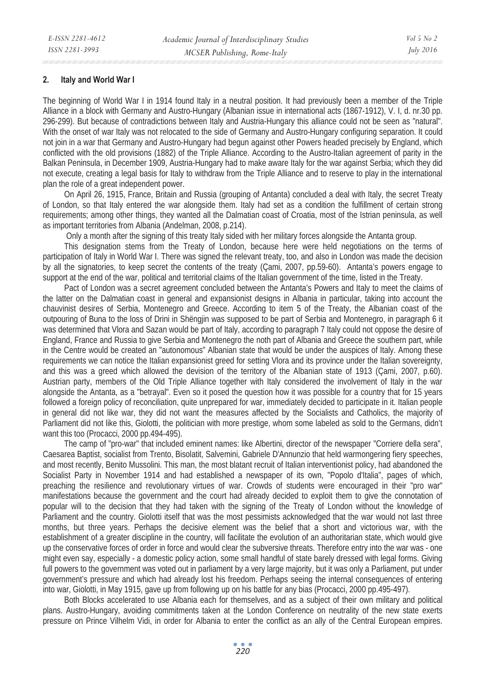## **2. Italy and World War I**

The beginning of World War I in 1914 found Italy in a neutral position. It had previously been a member of the Triple Alliance in a block with Germany and Austro-Hungary (Albanian issue in international acts (1867-1912), V. I, d. nr.30 pp. 296-299). But because of contradictions between Italy and Austria-Hungary this alliance could not be seen as "natural". With the onset of war Italy was not relocated to the side of Germany and Austro-Hungary configuring separation. It could not join in a war that Germany and Austro-Hungary had begun against other Powers headed precisely by England, which conflicted with the old provisions (1882) of the Triple Alliance. According to the Austro-Italian agreement of parity in the Balkan Peninsula, in December 1909, Austria-Hungary had to make aware Italy for the war against Serbia; which they did not execute, creating a legal basis for Italy to withdraw from the Triple Alliance and to reserve to play in the international plan the role of a great independent power.

On April 26, 1915, France, Britain and Russia (grouping of Antanta) concluded a deal with Italy, the secret Treaty of London, so that Italy entered the war alongside them. Italy had set as a condition the fulfillment of certain strong requirements; among other things, they wanted all the Dalmatian coast of Croatia, most of the Istrian peninsula, as well as important territories from Albania (Andelman, 2008, p.214).

Only a month after the signing of this treaty Italy sided with her military forces alongside the Antanta group.

This designation stems from the Treaty of London, because here were held negotiations on the terms of participation of Italy in World War I. There was signed the relevant treaty, too, and also in London was made the decision by all the signatories, to keep secret the contents of the treaty (Çami, 2007, pp.59-60). Antanta's powers engage to support at the end of the war, political and territorial claims of the Italian government of the time, listed in the Treaty.

Pact of London was a secret agreement concluded between the Antanta's Powers and Italy to meet the claims of the latter on the Dalmatian coast in general and expansionist designs in Albania in particular, taking into account the chauvinist desires of Serbia, Montenegro and Greece. According to item 5 of the Treaty, the Albanian coast of the outpouring of Buna to the loss of Drini in Shëngjin was supposed to be part of Serbia and Montenegro, in paragraph 6 it was determined that Vlora and Sazan would be part of Italy, according to paragraph 7 Italy could not oppose the desire of England, France and Russia to give Serbia and Montenegro the noth part of Albania and Greece the southern part, while in the Centre would be created an "autonomous" Albanian state that would be under the auspices of Italy. Among these requirements we can notice the Italian expansionist greed for setting Vlora and its province under the Italian sovereignty, and this was a greed which allowed the devision of the territory of the Albanian state of 1913 (Çami, 2007, p.60). Austrian party, members of the Old Triple Alliance together with Italy considered the involvement of Italy in the war alongside the Antanta, as a "betrayal". Even so it posed the question how it was possible for a country that for 15 years followed a foreign policy of reconciliation, quite unprepared for war, immediately decided to participate in it. Italian people in general did not like war, they did not want the measures affected by the Socialists and Catholics, the majority of Parliament did not like this, Giolotti, the politician with more prestige, whom some labeled as sold to the Germans, didn't want this too (Procacci, 2000 pp.494-495).

The camp of "pro-war" that included eminent names: like Albertini, director of the newspaper "Corriere della sera", Caesarea Baptist, socialist from Trento, Bisolatit, Salvemini, Gabriele D'Annunzio that held warmongering fiery speeches, and most recently, Benito Mussolini. This man, the most blatant recruit of Italian interventionist policy, had abandoned the Socialist Party in November 1914 and had established a newspaper of its own, "Popolo d'Italia", pages of which, preaching the resilience and revolutionary virtues of war. Crowds of students were encouraged in their "pro war" manifestations because the government and the court had already decided to exploit them to give the connotation of popular will to the decision that they had taken with the signing of the Treaty of London without the knowledge of Parliament and the country. Giolotti itself that was the most pessimists acknowledged that the war would not last three months, but three years. Perhaps the decisive element was the belief that a short and victorious war, with the establishment of a greater discipline in the country, will facilitate the evolution of an authoritarian state, which would give up the conservative forces of order in force and would clear the subversive threats. Therefore entry into the war was - one might even say, especially - a domestic policy action, some small handful of state barely dressed with legal forms. Giving full powers to the government was voted out in parliament by a very large majority, but it was only a Parliament, put under government's pressure and which had already lost his freedom. Perhaps seeing the internal consequences of entering into war, Giolotti, in May 1915, gave up from following up on his battle for any bias (Procacci, 2000 pp.495-497).

Both Blocks accelerated to use Albania each for themselves, and as a subject of their own military and political plans. Austro-Hungary, avoiding commitments taken at the London Conference on neutrality of the new state exerts pressure on Prince Vilhelm Vidi, in order for Albania to enter the conflict as an ally of the Central European empires.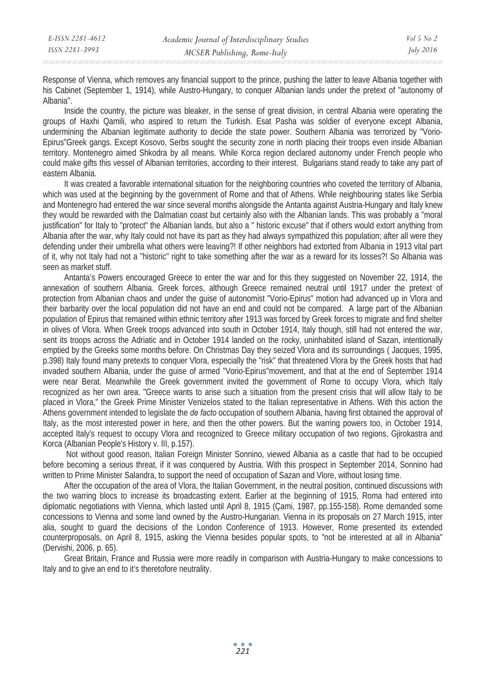Response of Vienna, which removes any financial support to the prince, pushing the latter to leave Albania together with his Cabinet (September 1, 1914), while Austro-Hungary, to conquer Albanian lands under the pretext of "autonomy of Albania".

Inside the country, the picture was bleaker, in the sense of great division, in central Albania were operating the groups of Haxhi Qamili, who aspired to return the Turkish. Esat Pasha was soldier of everyone except Albania, undermining the Albanian legitimate authority to decide the state power. Southern Albania was terrorized by "Vorio-Epirus"Greek gangs. Except Kosovo, Serbs sought the security zone in north placing their troops even inside Albanian territory. Montenegro aimed Shkodra by all means. While Korca region declared autonomy under French people who could make gifts this vessel of Albanian territories, according to their interest. Bulgarians stand ready to take any part of eastern Albania.

It was created a favorable international situation for the neighboring countries who coveted the territory of Albania, which was used at the beginning by the government of Rome and that of Athens. While neighbouring states like Serbia and Montenegro had entered the war since several months alongside the Antanta against Austria-Hungary and Italy knew they would be rewarded with the Dalmatian coast but certainly also with the Albanian lands. This was probably a "moral justification" for Italy to "protect" the Albanian lands, but also a " historic excuse" that if others would extort anything from Albania after the war, why Italy could not have its part as they had always sympathized this population; after all were they defending under their umbrella what others were leaving?! If other neighbors had extorted from Albania in 1913 vital part of it, why not Italy had not a "historic" right to take something after the war as a reward for its losses?! So Albania was seen as market stuff.

Antanta's Powers encouraged Greece to enter the war and for this they suggested on November 22, 1914, the annexation of southern Albania. Greek forces, although Greece remained neutral until 1917 under the pretext of protection from Albanian chaos and under the guise of autonomist "Vorio-Epirus" motion had advanced up in Vlora and their barbarity over the local population did not have an end and could not be compared. A large part of the Albanian population of Epirus that remained within ethnic territory after 1913 was forced by Greek forces to migrate and find shelter in olives of Vlora. When Greek troops advanced into south in October 1914, Italy though, still had not entered the war, sent its troops across the Adriatic and in October 1914 landed on the rocky, uninhabited island of Sazan, intentionally emptied by the Greeks some months before. On Christmas Day they seized Vlora and its surroundings ( Jacques, 1995, p.398) Italy found many pretexts to conquer Vlora, especially the "risk" that threatened Vlora by the Greek hosts that had invaded southern Albania, under the guise of armed "Vorio-Epirus"movement, and that at the end of September 1914 were near Berat. Meanwhile the Greek government invited the government of Rome to occupy Vlora, which Italy recognized as her own area. "Greece wants to arise such a situation from the present crisis that will allow Italy to be placed in Vlora," the Greek Prime Minister Venizelos stated to the Italian representative in Athens. With this action the Athens government intended to legislate the *de facto* occupation of southern Albania, having first obtained the approval of Italy, as the most interested power in here, and then the other powers. But the warring powers too, in October 1914, accepted Italy's request to occupy Vlora and recognized to Greece military occupation of two regions. Giirokastra and Korca (Albanian People's History v. III, p.157).

 Not without good reason, Italian Foreign Minister Sonnino, viewed Albania as a castle that had to be occupied before becoming a serious threat, if it was conquered by Austria. With this prospect in September 2014, Sonnino had written to Prime Minister Salandra, to support the need of occupation of Sazan and Vlore, without losing time.

After the occupation of the area of Vlora, the Italian Government, in the neutral position, continued discussions with the two warring blocs to increase its broadcasting extent. Earlier at the beginning of 1915, Roma had entered into diplomatic negotiations with Vienna, which lasted until April 8, 1915 (Çami, 1987, pp.155-158). Rome demanded some concessions to Vienna and some land owned by the Austro-Hungarian. Vienna in its proposals on 27 March 1915, inter alia, sought to guard the decisions of the London Conference of 1913. However, Rome presented its extended counterproposals, on April 8, 1915, asking the Vienna besides popular spots, to "not be interested at all in Albania" (Dervishi, 2006, p. 65).

Great Britain, France and Russia were more readily in comparison with Austria-Hungary to make concessions to Italy and to give an end to it's theretofore neutrality.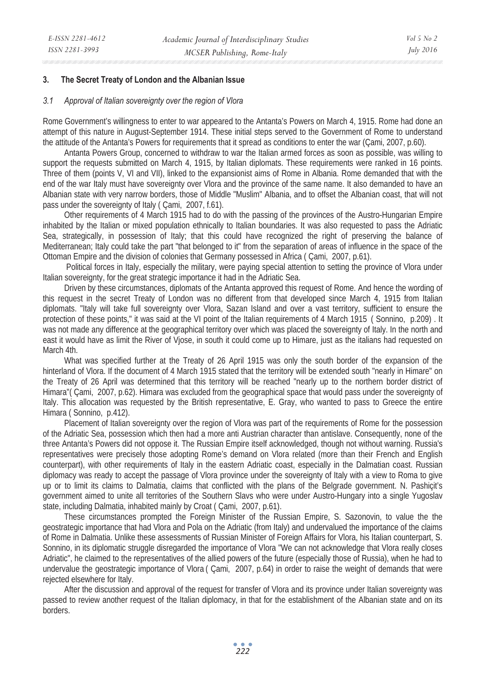## **3. The Secret Treaty of London and the Albanian Issue**

#### *3.1 Approval of Italian sovereignty over the region of Vlora*

Rome Government's willingness to enter to war appeared to the Antanta's Powers on March 4, 1915. Rome had done an attempt of this nature in August-September 1914. These initial steps served to the Government of Rome to understand the attitude of the Antanta's Powers for requirements that it spread as conditions to enter the war (Çami, 2007, p.60).

Antanta Powers Group, concerned to withdraw to war the Italian armed forces as soon as possible, was willing to support the requests submitted on March 4, 1915, by Italian diplomats. These requirements were ranked in 16 points. Three of them (points V, VI and VII), linked to the expansionist aims of Rome in Albania. Rome demanded that with the end of the war Italy must have sovereignty over Vlora and the province of the same name. It also demanded to have an Albanian state with very narrow borders, those of Middle "Muslim" Albania, and to offset the Albanian coast, that will not pass under the sovereignty of Italy ( Çami, 2007, f.61).

Other requirements of 4 March 1915 had to do with the passing of the provinces of the Austro-Hungarian Empire inhabited by the Italian or mixed population ethnically to Italian boundaries. It was also requested to pass the Adriatic Sea, strategically, in possession of Italy; that this could have recognized the right of preserving the balance of Mediterranean; Italy could take the part "that belonged to it" from the separation of areas of influence in the space of the Ottoman Empire and the division of colonies that Germany possessed in Africa ( Çami, 2007, p.61).

 Political forces in Italy, especially the military, were paying special attention to setting the province of Vlora under Italian sovereignty, for the great strategic importance it had in the Adriatic Sea.

Driven by these circumstances, diplomats of the Antanta approved this request of Rome. And hence the wording of this request in the secret Treaty of London was no different from that developed since March 4, 1915 from Italian diplomats. "Italy will take full sovereignty over Vlora, Sazan Island and over a vast territory, sufficient to ensure the protection of these points," it was said at the VI point of the Italian requirements of 4 March 1915 ( Sonnino, p.209) . It was not made any difference at the geographical territory over which was placed the sovereignty of Italy. In the north and east it would have as limit the River of Vjose, in south it could come up to Himare, just as the italians had requested on March 4th.

What was specified further at the Treaty of 26 April 1915 was only the south border of the expansion of the hinterland of Vlora. If the document of 4 March 1915 stated that the territory will be extended south "nearly in Himare" on the Treaty of 26 April was determined that this territory will be reached "nearly up to the northern border district of Himara"( Çami, 2007, p.62). Himara was excluded from the geographical space that would pass under the sovereignty of Italy. This allocation was requested by the British representative, E. Gray, who wanted to pass to Greece the entire Himara ( Sonnino, p.412).

Placement of Italian sovereignty over the region of Vlora was part of the requirements of Rome for the possession of the Adriatic Sea, possession which then had a more anti Austrian character than antislave. Consequently, none of the three Antanta's Powers did not oppose it. The Russian Empire itself acknowledged, though not without warning. Russia's representatives were precisely those adopting Rome's demand on Vlora related (more than their French and English counterpart), with other requirements of Italy in the eastern Adriatic coast, especially in the Dalmatian coast. Russian diplomacy was ready to accept the passage of Vlora province under the sovereignty of Italy with a view to Roma to give up or to limit its claims to Dalmatia, claims that conflicted with the plans of the Belgrade government. N. Pashiçit's government aimed to unite all territories of the Southern Slavs who were under Austro-Hungary into a single Yugoslav state, including Dalmatia, inhabited mainly by Croat ( Çami, 2007, p.61).

These circumstances prompted the Foreign Minister of the Russian Empire, S. Sazonovin, to value the the geostrategic importance that had Vlora and Pola on the Adriatic (from Italy) and undervalued the importance of the claims of Rome in Dalmatia. Unlike these assessments of Russian Minister of Foreign Affairs for Vlora, his Italian counterpart, S. Sonnino, in its diplomatic struggle disregarded the importance of Vlora "We can not acknowledge that Vlora really closes Adriatic", he claimed to the representatives of the allied powers of the future (especially those of Russia), when he had to undervalue the geostrategic importance of Vlora ( Çami, 2007, p.64) in order to raise the weight of demands that were rejected elsewhere for Italy.

After the discussion and approval of the request for transfer of Vlora and its province under Italian sovereignty was passed to review another request of the Italian diplomacy, in that for the establishment of the Albanian state and on its borders.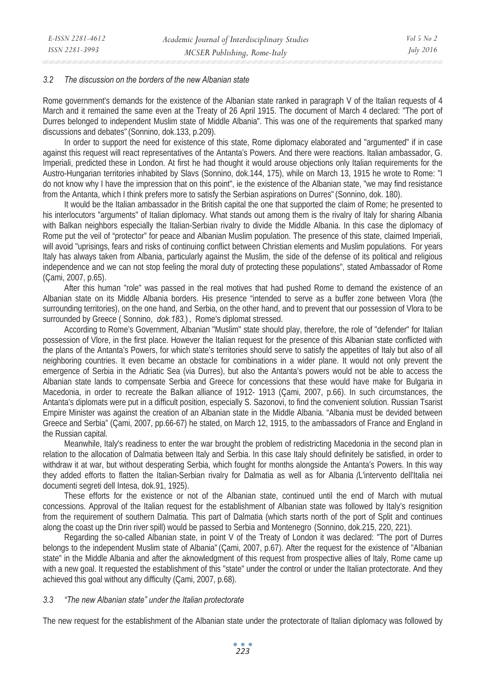## *3.2 The discussion on the borders of the new Albanian state*

Rome government's demands for the existence of the Albanian state ranked in paragraph V of the Italian requests of 4 March and it remained the same even at the Treaty of 26 April 1915. The document of March 4 declared: "The port of Durres belonged to independent Muslim state of Middle Albania". This was one of the requirements that sparked many discussions and debates" (Sonnino, dok.133, p.209).

In order to support the need for existence of this state, Rome diplomacy elaborated and "argumented" if in case against this request will react representatives of the Antanta's Powers. And there were reactions. Italian ambassador, G. Imperiali, predicted these in London. At first he had thought it would arouse objections only Italian requirements for the Austro-Hungarian territories inhabited by Slavs (Sonnino, dok.144, 175), while on March 13, 1915 he wrote to Rome: "I do not know why I have the impression that on this point", ie the existence of the Albanian state, "we may find resistance from the Antanta, which I think prefers more to satisfy the Serbian aspirations on Durres" (Sonnino, dok. 180).

It would be the Italian ambassador in the British capital the one that supported the claim of Rome; he presented to his interlocutors "arguments" of Italian diplomacy. What stands out among them is the rivalry of Italy for sharing Albania with Balkan neighbors especially the Italian-Serbian rivalry to divide the Middle Albania. In this case the diplomacy of Rome put the veil of "protector" for peace and Albanian Muslim population. The presence of this state, claimed Imperiali, will avoid "uprisings, fears and risks of continuing conflict between Christian elements and Muslim populations. For years Italy has always taken from Albania, particularly against the Muslim, the side of the defense of its political and religious independence and we can not stop feeling the moral duty of protecting these populations", stated Ambassador of Rome (Çami, 2007, p.65).

After this human "role" was passed in the real motives that had pushed Rome to demand the existence of an Albanian state on its Middle Albania borders. His presence "intended to serve as a buffer zone between Vlora (the surrounding territories), on the one hand, and Serbia, on the other hand, and to prevent that our possession of Vlora to be surrounded by Greece ( Sonnino, *dok.183.*) , Rome's diplomat stressed.

According to Rome's Government, Albanian "Muslim" state should play, therefore, the role of "defender" for Italian possession of Vlore, in the first place. However the Italian request for the presence of this Albanian state conflicted with the plans of the Antanta's Powers, for which state's territories should serve to satisfy the appetites of Italy but also of all neighboring countries. It even became an obstacle for combinations in a wider plane. It would not only prevent the emergence of Serbia in the Adriatic Sea (via Durres), but also the Antanta's powers would not be able to access the Albanian state lands to compensate Serbia and Greece for concessions that these would have make for Bulgaria in Macedonia, in order to recreate the Balkan alliance of 1912- 1913 (Çami, 2007, p.66). In such circumstances, the Antanta's diplomats were put in a difficult position, especially S. Sazonovi, to find the convenient solution. Russian Tsarist Empire Minister was against the creation of an Albanian state in the Middle Albania. "Albania must be devided between Greece and Serbia" (Çami, 2007, pp.66-67) he stated, on March 12, 1915, to the ambassadors of France and England in the Russian capital.

Meanwhile, Italy's readiness to enter the war brought the problem of redistricting Macedonia in the second plan in relation to the allocation of Dalmatia between Italy and Serbia. In this case Italy should definitely be satisfied, in order to withdraw it at war, but without desperating Serbia, which fought for months alongside the Antanta's Powers. In this way they added efforts to flatten the Italian-Serbian rivalry for Dalmatia as well as for Albania *(*L'intervento dell'Italia nei documenti segreti dell Intesa, dok.91, 1925).

These efforts for the existence or not of the Albanian state, continued until the end of March with mutual concessions. Approval of the Italian request for the establishment of Albanian state was followed by Italy's resignition from the requirement of southern Dalmatia. This part of Dalmatia (which starts north of the port of Split and continues along the coast up the Drin river spill) would be passed to Serbia and Montenegro (Sonnino, dok.215, 220, 221).

Regarding the so-called Albanian state, in point V of the Treaty of London it was declared: "The port of Durres belongs to the independent Muslim state of Albania" (Çami, 2007, p.67). After the request for the existence of "Albanian state" in the Middle Albania and after the aknowledgment of this request from prospective allies of Italy, Rome came up with a new goal. It requested the establishment of this "state" under the control or under the Italian protectorate. And they achieved this goal without any difficulty (Çami, 2007, p.68).

## *3.3 "The new Albanian state" under the Italian protectorate*

The new request for the establishment of the Albanian state under the protectorate of Italian diplomacy was followed by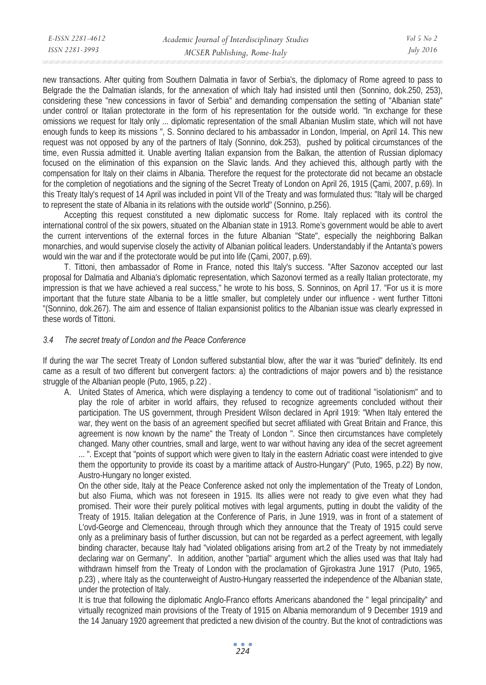| E-ISSN 2281-4612 | Academic Journal of Interdisciplinary Studies | $Vol_5$ No 2     |
|------------------|-----------------------------------------------|------------------|
| ISSN 2281-3993   | MCSER Publishing, Rome-Italy                  | <i>July 2016</i> |
|                  |                                               |                  |

new transactions. After quiting from Southern Dalmatia in favor of Serbia's, the diplomacy of Rome agreed to pass to Belgrade the the Dalmatian islands, for the annexation of which Italy had insisted until then (Sonnino, dok.250, 253), considering these "new concessions in favor of Serbia" and demanding compensation the setting of "Albanian state" under control or Italian protectorate in the form of his representation for the outside world. "In exchange for these omissions we request for Italy only ... diplomatic representation of the small Albanian Muslim state, which will not have enough funds to keep its missions ", S. Sonnino declared to his ambassador in London, Imperial, on April 14. This new request was not opposed by any of the partners of Italy (Sonnino, dok.253), pushed by political circumstances of the time, even Russia admitted it. Unable averting Italian expansion from the Balkan, the attention of Russian diplomacy focused on the elimination of this expansion on the Slavic lands. And they achieved this, although partly with the compensation for Italy on their claims in Albania. Therefore the request for the protectorate did not became an obstacle for the completion of negotiations and the signing of the Secret Treaty of London on April 26, 1915 (Çami, 2007, p.69). In this Treaty Italy's request of 14 April was included in point VII of the Treaty and was formulated thus: "Italy will be charged to represent the state of Albania in its relations with the outside world" (Sonnino, p.256).

Accepting this request constituted a new diplomatic success for Rome. Italy replaced with its control the international control of the six powers, situated on the Albanian state in 1913. Rome's government would be able to avert the current interventions of the external forces in the future Albanian "State", especially the neighboring Balkan monarchies, and would supervise closely the activity of Albanian political leaders. Understandably if the Antanta's powers would win the war and if the protectorate would be put into life (Çami, 2007, p.69).

T. Tittoni, then ambassador of Rome in France, noted this Italy's success. "After Sazonov accepted our last proposal for Dalmatia and Albania's diplomatic representation, which Sazonovi termed as a really Italian protectorate, my impression is that we have achieved a real success," he wrote to his boss, S. Sonninos, on April 17. "For us it is more important that the future state Albania to be a little smaller, but completely under our influence - went further Tittoni "(Sonnino, dok.267). The aim and essence of Italian expansionist politics to the Albanian issue was clearly expressed in these words of Tittoni.

## *3.4 The secret treaty of London and the Peace Conference*

If during the war The secret Treaty of London suffered substantial blow, after the war it was "buried" definitely. Its end came as a result of two different but convergent factors: a) the contradictions of major powers and b) the resistance struggle of the Albanian people (Puto, 1965, p.22) .

A. United States of America, which were displaying a tendency to come out of traditional "isolationism" and to play the role of arbiter in world affairs, they refused to recognize agreements concluded without their participation. The US government, through President Wilson declared in April 1919: "When Italy entered the war, they went on the basis of an agreement specified but secret affiliated with Great Britain and France, this agreement is now known by the name" the Treaty of London ". Since then circumstances have completely changed. Many other countries, small and large, went to war without having any idea of the secret agreement

... ". Except that "points of support which were given to Italy in the eastern Adriatic coast were intended to give them the opportunity to provide its coast by a maritime attack of Austro-Hungary" (Puto, 1965, p.22) By now, Austro-Hungary no longer existed.

On the other side, Italy at the Peace Conference asked not only the implementation of the Treaty of London, but also Fiuma, which was not foreseen in 1915. Its allies were not ready to give even what they had promised. Their wore their purely political motives with legal arguments, putting in doubt the validity of the Treaty of 1915. Italian delegation at the Conference of Paris, in June 1919, was in front of a statement of L'ovd-George and Clemenceau, through through which they announce that the Treaty of 1915 could serve only as a preliminary basis of further discussion, but can not be regarded as a perfect agreement, with legally binding character, because Italy had "violated obligations arising from art.2 of the Treaty by not immediately declaring war on Germany". In addition, another "partial" argument which the allies used was that Italy had withdrawn himself from the Treaty of London with the proclamation of Gjirokastra June 1917 (Puto, 1965, p.23) , where Italy as the counterweight of Austro-Hungary reasserted the independence of the Albanian state, under the protection of Italy.

It is true that following the diplomatic Anglo-Franco efforts Americans abandoned the " legal principality" and virtually recognized main provisions of the Treaty of 1915 on Albania memorandum of 9 December 1919 and the 14 January 1920 agreement that predicted a new division of the country. But the knot of contradictions was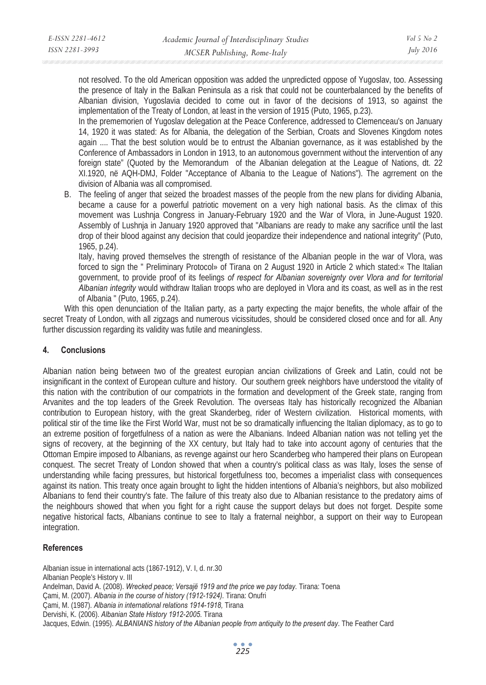not resolved. To the old American opposition was added the unpredicted oppose of Yugoslav, too. Assessing the presence of Italy in the Balkan Peninsula as a risk that could not be counterbalanced by the benefits of Albanian division, Yugoslavia decided to come out in favor of the decisions of 1913, so against the implementation of the Treaty of London, at least in the version of 1915 (Puto, 1965, p.23).

In the prememorien of Yugoslav delegation at the Peace Conference, addressed to Clemenceau's on January 14, 1920 it was stated: As for Albania, the delegation of the Serbian, Croats and Slovenes Kingdom notes again .... That the best solution would be to entrust the Albanian governance, as it was established by the Conference of Ambassadors in London in 1913, to an autonomous government without the intervention of any foreign state" (Quoted by the Memorandum of the Albanian delegation at the League of Nations, dt. 22 XI.1920, në AQH-DMJ, Folder "Acceptance of Albania to the League of Nations"). The agrrement on the division of Albania was all compromised.

B. The feeling of anger that seized the broadest masses of the people from the new plans for dividing Albania, became a cause for a powerful patriotic movement on a very high national basis. As the climax of this movement was Lushnja Congress in January-February 1920 and the War of Vlora, in June-August 1920. Assembly of Lushnja in January 1920 approved that "Albanians are ready to make any sacrifice until the last drop of their blood against any decision that could jeopardize their independence and national integrity" (Puto, 1965, p.24).

Italy, having proved themselves the strength of resistance of the Albanian people in the war of Vlora, was forced to sign the " Preliminary Protocol» of Tirana on 2 August 1920 in Article 2 which stated:« The Italian government, to provide proof of its feelings *of respect for Albanian sovereignty over Vlora and for territorial Albanian integrity* would withdraw Italian troops who are deployed in Vlora and its coast, as well as in the rest of Albania " (Puto, 1965, p.24).

With this open denunciation of the Italian party, as a party expecting the major benefits, the whole affair of the secret Treaty of London, with all zigzags and numerous vicissitudes, should be considered closed once and for all. Any further discussion regarding its validity was futile and meaningless.

## **4. Conclusions**

Albanian nation being between two of the greatest europian ancian civilizations of Greek and Latin, could not be insignificant in the context of European culture and history. Our southern greek neighbors have understood the vitality of this nation with the contribution of our compatriots in the formation and development of the Greek state, ranging from Arvanites and the top leaders of the Greek Revolution. The overseas Italy has historically recognized the Albanian contribution to European history, with the great Skanderbeg, rider of Western civilization. Historical moments, with political stir of the time like the First World War, must not be so dramatically influencing the Italian diplomacy, as to go to an extreme position of forgetfulness of a nation as were the Albanians. Indeed Albanian nation was not telling yet the signs of recovery, at the beginning of the XX century, but Italy had to take into account agony of centuries that the Ottoman Empire imposed to Albanians, as revenge against our hero Scanderbeg who hampered their plans on European conquest. The secret Treaty of London showed that when a country's political class as was Italy, loses the sense of understanding while facing pressures, but historical forgetfulness too, becomes a imperialist class with consequences against its nation. This treaty once again brought to light the hidden intentions of Albania's neighbors, but also mobilized Albanians to fend their country's fate. The failure of this treaty also due to Albanian resistance to the predatory aims of the neighbours showed that when you fight for a right cause the support delays but does not forget. Despite some negative historical facts, Albanians continue to see to Italy a fraternal neighbor, a support on their way to European integration.

## **References**

Albanian issue in international acts (1867-1912), V. I, d. nr.30 Albanian People's History v. III Andelman, David A. (2008). *Wrecked peace; Versajë 1919 and the price we pay today.* Tirana: Toena Çami, M. (2007). *Albania in the course of history (1912-1924)*. Tirana: Onufri Çami, M. (1987). *Albania in international relations 1914-1918,* Tirana Dervishi, K. (2006). *Albanian State History 1912-2005.* Tirana Jacques, Edwin. (1995). *ALBANIANS history of the Albanian people from antiquity to the present day*. The Feather Card